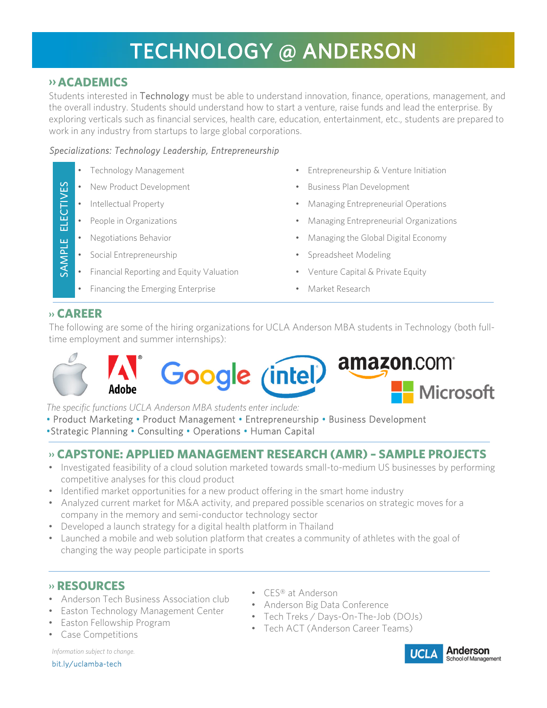# TECHNOLOGY @ ANDERSON

## **›› ACADEMICS**

Students interested in Technology must be able to understand innovation, finance, operations, management, and the overall industry. Students should understand how to start a venture, raise funds and lead the enterprise. By exploring verticals such as financial services, health care, education, entertainment, etc., students are prepared to work in any industry from startups to large global corporations.

### *Specializations: Technology Leadership, Entrepreneurship*

- 
- 
- 
- 
- 
- 
- Financial Reporting and Equity Valuation Venture Capital & Private Equity
- Financing the Emerging Enterprise Market Research
- Technology Management Entrepreneurship & Venture Initiation
- New Product Development **•** Business Plan Development
- Intellectual Property Managing Entrepreneurial Operations
- People in Organizations Managing Entrepreneurial Organizations
- Negotiations Behavior  **Contained Account 1** Managing the Global Digital Economy
	- Social Entrepreneurship Spreadsheet Modeling
		-
		-

### **›› CAREER**

SAMPLE ELECTIVES

SAMPLE

**ELECTIVES** 

The following are some of the hiring organizations for UCLA Anderson MBA students in Technology (both fulltime employment and summer internships):



*The specific functions UCLA Anderson MBA students enter include:* 

- Product Marketing Product Management Entrepreneurship Business Development
- •Strategic Planning Consulting Operations Human Capital

## **›› CAPSTONE: APPLIED MANAGEMENT RESEARCH (AMR) – SAMPLE PROJECTS**

- Investigated feasibility of a cloud solution marketed towards small-to-medium US businesses by performing competitive analyses for this cloud product
- Identified market opportunities for a new product offering in the smart home industry
- Analyzed current market for M&A activity, and prepared possible scenarios on strategic moves for a company in the memory and semi-conductor technology sector
- Developed a launch strategy for a digital health platform in Thailand
- Launched a mobile and web solution platform that creates a community of athletes with the goal of changing the way people participate in sports

## **›› RESOURCES**

- Anderson Tech Business Association club
- Easton Technology Management Center
- Easton Fellowship Program
- Case Competitions

*Information subject to change.*

bit.ly/uclamba-tech

- CES® at Anderson
- Anderson Big Data Conference
- Tech Treks / Days-On-The-Job (DOJs)
- Tech ACT (Anderson Career Teams)